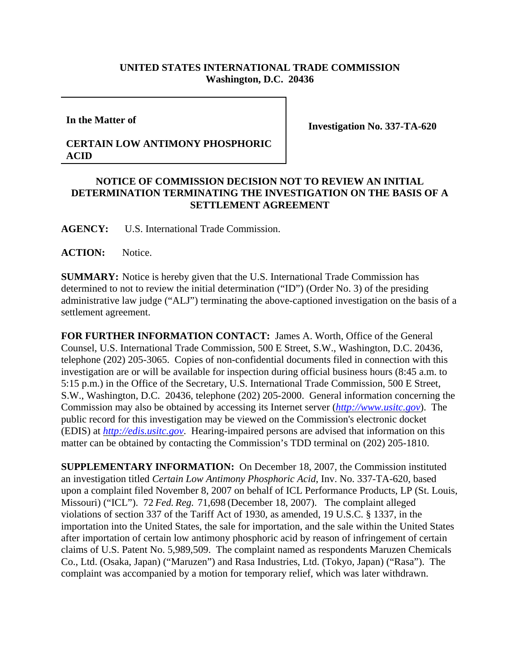## **UNITED STATES INTERNATIONAL TRADE COMMISSION Washington, D.C. 20436**

**In the Matter of**

**Investigation No. 337-TA-620**

## **CERTAIN LOW ANTIMONY PHOSPHORIC ACID**

## **NOTICE OF COMMISSION DECISION NOT TO REVIEW AN INITIAL DETERMINATION TERMINATING THE INVESTIGATION ON THE BASIS OF A SETTLEMENT AGREEMENT**

**AGENCY:** U.S. International Trade Commission.

ACTION: Notice.

**SUMMARY:** Notice is hereby given that the U.S. International Trade Commission has determined to not to review the initial determination ("ID") (Order No. 3) of the presiding administrative law judge ("ALJ") terminating the above-captioned investigation on the basis of a settlement agreement.

**FOR FURTHER INFORMATION CONTACT:** James A. Worth, Office of the General Counsel, U.S. International Trade Commission, 500 E Street, S.W., Washington, D.C. 20436, telephone (202) 205-3065. Copies of non-confidential documents filed in connection with this investigation are or will be available for inspection during official business hours (8:45 a.m. to 5:15 p.m.) in the Office of the Secretary, U.S. International Trade Commission, 500 E Street, S.W., Washington, D.C. 20436, telephone (202) 205-2000. General information concerning the Commission may also be obtained by accessing its Internet server (*http://www.usitc.gov*). The public record for this investigation may be viewed on the Commission's electronic docket (EDIS) at *http://edis.usitc.gov*. Hearing-impaired persons are advised that information on this matter can be obtained by contacting the Commission's TDD terminal on (202) 205-1810.

**SUPPLEMENTARY INFORMATION:** On December 18, 2007, the Commission instituted an investigation titled *Certain Low Antimony Phosphoric Acid*, Inv. No. 337-TA-620, based upon a complaint filed November 8, 2007 on behalf of ICL Performance Products, LP (St. Louis, Missouri) ("ICL"). 72 *Fed. Reg.* 71,698 (December 18, 2007). The complaint alleged violations of section 337 of the Tariff Act of 1930, as amended, 19 U.S.C. § 1337, in the importation into the United States, the sale for importation, and the sale within the United States after importation of certain low antimony phosphoric acid by reason of infringement of certain claims of U.S. Patent No. 5,989,509. The complaint named as respondents Maruzen Chemicals Co., Ltd. (Osaka, Japan) ("Maruzen") and Rasa Industries, Ltd. (Tokyo, Japan) ("Rasa"). The complaint was accompanied by a motion for temporary relief, which was later withdrawn.